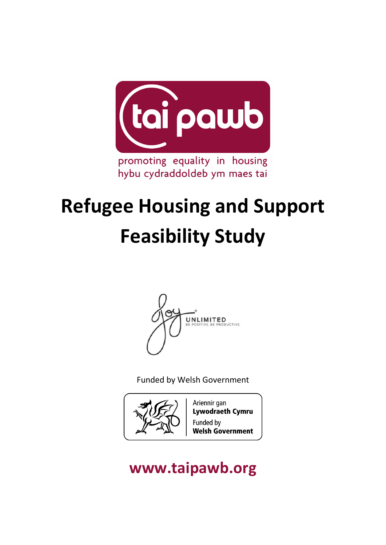

# **Refugee Housing and Support Feasibility Study**



Funded by Welsh Government



Ariennir gan **Lywodraeth Cymru** Funded by **Welsh Government** 

## **www.taipawb.org**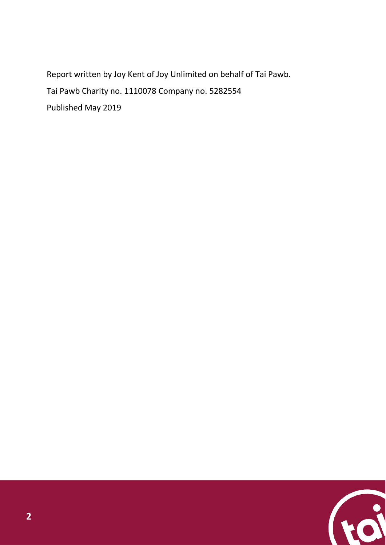Report written by Joy Kent of Joy Unlimited on behalf of Tai Pawb. Tai Pawb Charity no. 1110078 Company no. [5282554](https://beta.companieshouse.gov.uk/search/companies?q=5282554) Published May 2019

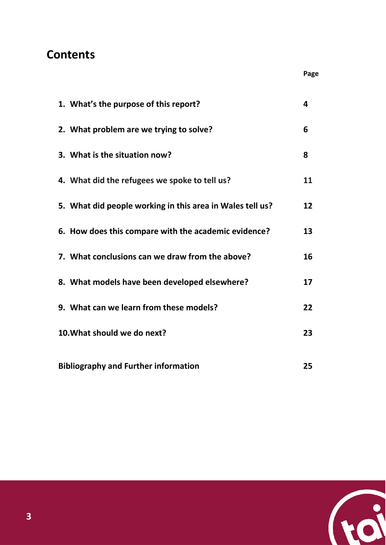### **Contents**

|                                             | 1. What's the purpose of this report?                     | 4  |
|---------------------------------------------|-----------------------------------------------------------|----|
|                                             | 2. What problem are we trying to solve?                   | 6  |
|                                             | 3. What is the situation now?                             | 8  |
|                                             | 4. What did the refugees we spoke to tell us?             | 11 |
|                                             | 5. What did people working in this area in Wales tell us? | 12 |
|                                             | 6. How does this compare with the academic evidence?      | 13 |
|                                             | 7. What conclusions can we draw from the above?           | 16 |
|                                             | 8. What models have been developed elsewhere?             | 17 |
|                                             | 9. What can we learn from these models?                   | 22 |
|                                             | 10. What should we do next?                               | 23 |
| <b>Bibliography and Further information</b> |                                                           | 25 |



**Page**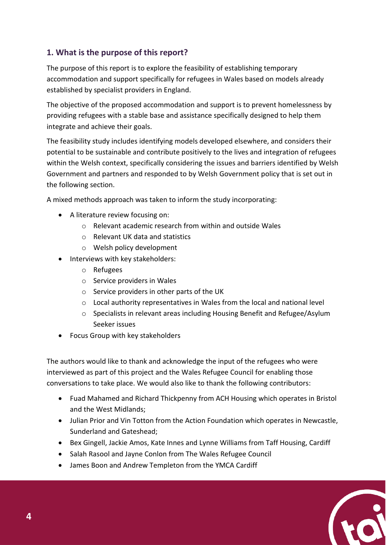#### **1. What is the purpose of this report?**

The purpose of this report is to explore the feasibility of establishing temporary accommodation and support specifically for refugees in Wales based on models already established by specialist providers in England.

The objective of the proposed accommodation and support is to prevent homelessness by providing refugees with a stable base and assistance specifically designed to help them integrate and achieve their goals.

The feasibility study includes identifying models developed elsewhere, and considers their potential to be sustainable and contribute positively to the lives and integration of refugees within the Welsh context, specifically considering the issues and barriers identified by Welsh Government and partners and responded to by Welsh Government policy that is set out in the following section.

A mixed methods approach was taken to inform the study incorporating:

- A literature review focusing on:
	- o Relevant academic research from within and outside Wales
	- o Relevant UK data and statistics
	- o Welsh policy development
- Interviews with key stakeholders:
	- o Refugees
	- o Service providers in Wales
	- o Service providers in other parts of the UK
	- $\circ$  Local authority representatives in Wales from the local and national level
	- $\circ$  Specialists in relevant areas including Housing Benefit and Refugee/Asylum Seeker issues
- Focus Group with key stakeholders

The authors would like to thank and acknowledge the input of the refugees who were interviewed as part of this project and the Wales Refugee Council for enabling those conversations to take place. We would also like to thank the following contributors:

- Fuad Mahamed and Richard Thickpenny from ACH Housing which operates in Bristol and the West Midlands;
- Julian Prior and Vin Totton from the Action Foundation which operates in Newcastle, Sunderland and Gateshead;
- Bex Gingell, Jackie Amos, Kate Innes and Lynne Williams from Taff Housing, Cardiff
- Salah Rasool and Jayne Conlon from The Wales Refugee Council
- James Boon and Andrew Templeton from the YMCA Cardiff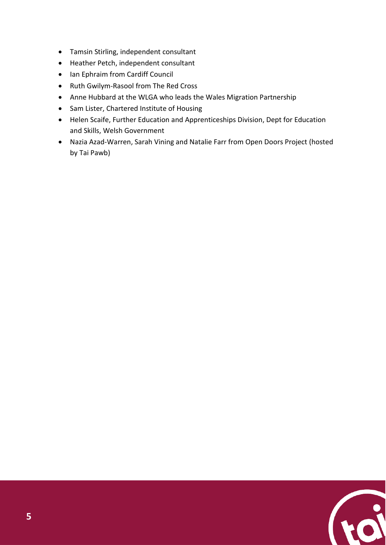- Tamsin Stirling, independent consultant
- Heather Petch, independent consultant
- Ian Ephraim from Cardiff Council
- Ruth Gwilym-Rasool from The Red Cross
- Anne Hubbard at the WLGA who leads the Wales Migration Partnership
- Sam Lister, Chartered Institute of Housing
- Helen Scaife, Further Education and Apprenticeships Division, Dept for Education and Skills, Welsh Government
- Nazia Azad-Warren, Sarah Vining and Natalie Farr from Open Doors Project (hosted by Tai Pawb)

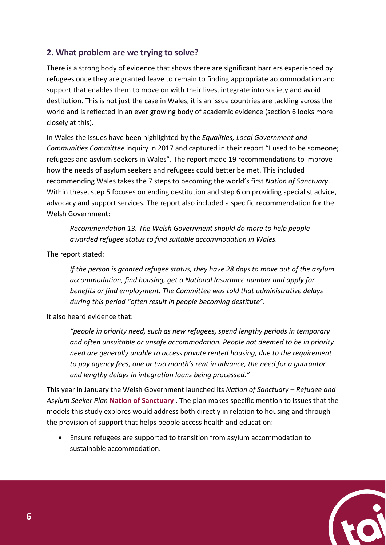#### **2. What problem are we trying to solve?**

There is a strong body of evidence that shows there are significant barriers experienced by refugees once they are granted leave to remain to finding appropriate accommodation and support that enables them to move on with their lives, integrate into society and avoid destitution. This is not just the case in Wales, it is an issue countries are tackling across the world and is reflected in an ever growing body of academic evidence (section 6 looks more closely at this).

In Wales the issues have been highlighted by the *Equalities, Local Government and Communities Committee* inquiry in 2017 and captured in their report "I used to be someone; refugees and asylum seekers in Wales". The report made 19 recommendations to improve how the needs of asylum seekers and refugees could better be met. This included recommending Wales takes the 7 steps to becoming the world's first *Nation of Sanctuary*. Within these, step 5 focuses on ending destitution and step 6 on providing specialist advice, advocacy and support services. The report also included a specific recommendation for the Welsh Government:

*Recommendation 13. The Welsh Government should do more to help people awarded refugee status to find suitable accommodation in Wales.*

The report stated:

*If the person is granted refugee status, they have 28 days to move out of the asylum accommodation, find housing, get a National Insurance number and apply for benefits or find employment. The Committee was told that administrative delays during this period "often result in people becoming destitute".*

It also heard evidence that:

*"people in priority need, such as new refugees, spend lengthy periods in temporary and often unsuitable or unsafe accommodation. People not deemed to be in priority need are generally unable to access private rented housing, due to the requirement to pay agency fees, one or two month's rent in advance, the need for a guarantor and lengthy delays in integration loans being processed."*

This year in January the Welsh Government launched its *Nation of Sanctuary – Refugee and Asylum Seeker Plan* **[Nation of Sanctuary](https://gweddill.gov.wales/docs/dsjlg/publications/equality/190128-refugee-and-asylum-seeker-plan-en.pdf)** . The plan makes specific mention to issues that the models this study explores would address both directly in relation to housing and through the provision of support that helps people access health and education:

• Ensure refugees are supported to transition from asylum accommodation to sustainable accommodation.

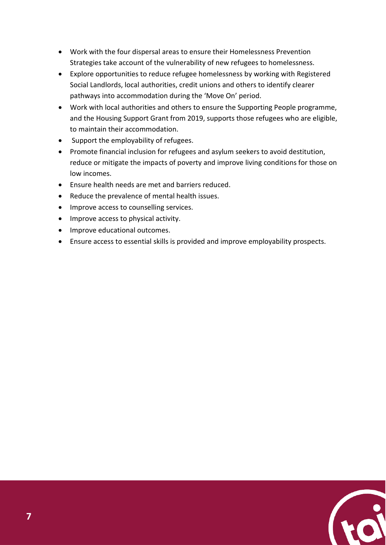- Work with the four dispersal areas to ensure their Homelessness Prevention Strategies take account of the vulnerability of new refugees to homelessness.
- Explore opportunities to reduce refugee homelessness by working with Registered Social Landlords, local authorities, credit unions and others to identify clearer pathways into accommodation during the 'Move On' period.
- Work with local authorities and others to ensure the Supporting People programme, and the Housing Support Grant from 2019, supports those refugees who are eligible, to maintain their accommodation.
- Support the employability of refugees.
- Promote financial inclusion for refugees and asylum seekers to avoid destitution, reduce or mitigate the impacts of poverty and improve living conditions for those on low incomes.
- Ensure health needs are met and barriers reduced.
- Reduce the prevalence of mental health issues.
- Improve access to counselling services.
- Improve access to physical activity.
- Improve educational outcomes.
- Ensure access to essential skills is provided and improve employability prospects.

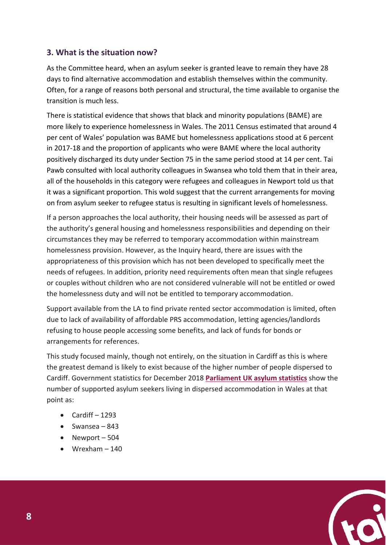#### **3. What is the situation now?**

As the Committee heard, when an asylum seeker is granted leave to remain they have 28 days to find alternative accommodation and establish themselves within the community. Often, for a range of reasons both personal and structural, the time available to organise the transition is much less.

There is statistical evidence that shows that black and minority populations (BAME) are more likely to experience homelessness in Wales. The 2011 Census estimated that around 4 per cent of Wales' population was BAME but homelessness applications stood at 6 percent in 2017-18 and the proportion of applicants who were BAME where the local authority positively discharged its duty under Section 75 in the same period stood at 14 per cent. Tai Pawb consulted with local authority colleagues in Swansea who told them that in their area, all of the households in this category were refugees and colleagues in Newport told us that it was a significant proportion. This wold suggest that the current arrangements for moving on from asylum seeker to refugee status is resulting in significant levels of homelessness.

If a person approaches the local authority, their housing needs will be assessed as part of the authority's general housing and homelessness responsibilities and depending on their circumstances they may be referred to temporary accommodation within mainstream homelessness provision. However, as the Inquiry heard, there are issues with the appropriateness of this provision which has not been developed to specifically meet the needs of refugees. In addition, priority need requirements often mean that single refugees or couples without children who are not considered vulnerable will not be entitled or owed the homelessness duty and will not be entitled to temporary accommodation.

Support available from the LA to find private rented sector accommodation is limited, often due to lack of availability of affordable PRS accommodation, letting agencies/landlords refusing to house people accessing some benefits, and lack of funds for bonds or arrangements for references.

This study focused mainly, though not entirely, on the situation in Cardiff as this is where the greatest demand is likely to exist because of the higher number of people dispersed to Cardiff. Government statistics for December 2018 **[Parliament UK asylum statistics](https://researchbriefings.parliament.uk/ResearchBriefing/Summary/SN01403)** show the number of supported asylum seekers living in dispersed accommodation in Wales at that point as:

- $\bullet$  Cardiff 1293
- Swansea 843
- Newport 504
- $\bullet$  Wrexham  $-140$

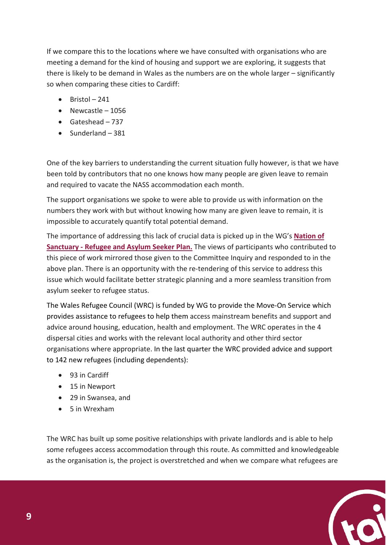If we compare this to the locations where we have consulted with organisations who are meeting a demand for the kind of housing and support we are exploring, it suggests that there is likely to be demand in Wales as the numbers are on the whole larger – significantly so when comparing these cities to Cardiff:

- $\bullet$  Bristol 241
- Newcastle 1056
- Gateshead 737
- Sunderland 381

One of the key barriers to understanding the current situation fully however, is that we have been told by contributors that no one knows how many people are given leave to remain and required to vacate the NASS accommodation each month.

The support organisations we spoke to were able to provide us with information on the numbers they work with but without knowing how many are given leave to remain, it is impossible to accurately quantify total potential demand.

The importance of addressing this lack of crucial data is picked up in the WG's **[Nation of](https://gweddill.gov.wales/docs/dsjlg/publications/equality/190128-refugee-and-asylum-seeker-plan-en.pdf)  Sanctuary - [Refugee and Asylum Seeker Plan.](https://gweddill.gov.wales/docs/dsjlg/publications/equality/190128-refugee-and-asylum-seeker-plan-en.pdf)** The views of participants who contributed to this piece of work mirrored those given to the Committee Inquiry and responded to in the above plan. There is an opportunity with the re-tendering of this service to address this issue which would facilitate better strategic planning and a more seamless transition from asylum seeker to refugee status.

The Wales Refugee Council (WRC) is funded by WG to provide the Move-On Service which provides assistance to refugees to help them access mainstream benefits and support and advice around housing, education, health and employment. The WRC operates in the 4 dispersal cities and works with the relevant local authority and other third sector organisations where appropriate. In the last quarter the WRC provided advice and support to 142 new refugees (including dependents):

- 93 in Cardiff
- 15 in Newport
- 29 in Swansea, and
- 5 in Wrexham

The WRC has built up some positive relationships with private landlords and is able to help some refugees access accommodation through this route. As committed and knowledgeable as the organisation is, the project is overstretched and when we compare what refugees are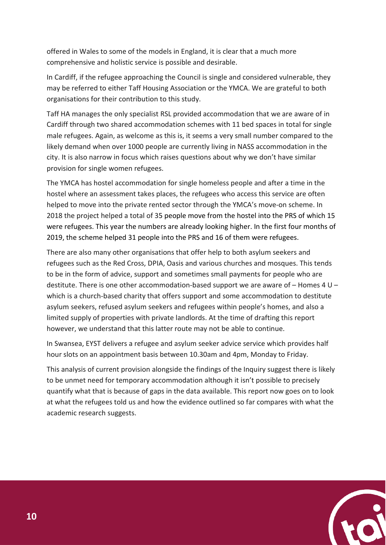offered in Wales to some of the models in England, it is clear that a much more comprehensive and holistic service is possible and desirable.

In Cardiff, if the refugee approaching the Council is single and considered vulnerable, they may be referred to either Taff Housing Association or the YMCA. We are grateful to both organisations for their contribution to this study.

Taff HA manages the only specialist RSL provided accommodation that we are aware of in Cardiff through two shared accommodation schemes with 11 bed spaces in total for single male refugees. Again, as welcome as this is, it seems a very small number compared to the likely demand when over 1000 people are currently living in NASS accommodation in the city. It is also narrow in focus which raises questions about why we don't have similar provision for single women refugees.

The YMCA has hostel accommodation for single homeless people and after a time in the hostel where an assessment takes places, the refugees who access this service are often helped to move into the private rented sector through the YMCA's move-on scheme. In 2018 the project helped a total of 35 people move from the hostel into the PRS of which 15 were refugees. This year the numbers are already looking higher. In the first four months of 2019, the scheme helped 31 people into the PRS and 16 of them were refugees.

There are also many other organisations that offer help to both asylum seekers and refugees such as the Red Cross, DPIA, Oasis and various churches and mosques. This tends to be in the form of advice, support and sometimes small payments for people who are destitute. There is one other accommodation-based support we are aware of  $-$  Homes 4 U – which is a church-based charity that offers support and some accommodation to destitute asylum seekers, refused asylum seekers and refugees within people's homes, and also a limited supply of properties with private landlords. At the time of drafting this report however, we understand that this latter route may not be able to continue.

In Swansea, EYST delivers a refugee and asylum seeker advice service which provides half hour slots on an appointment basis between 10.30am and 4pm, Monday to Friday.

This analysis of current provision alongside the findings of the Inquiry suggest there is likely to be unmet need for temporary accommodation although it isn't possible to precisely quantify what that is because of gaps in the data available. This report now goes on to look at what the refugees told us and how the evidence outlined so far compares with what the academic research suggests.

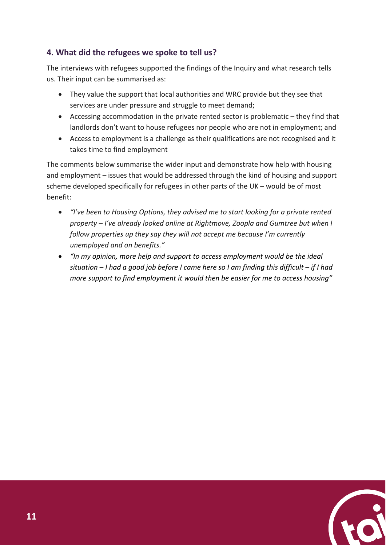#### **4. What did the refugees we spoke to tell us?**

The interviews with refugees supported the findings of the Inquiry and what research tells us. Their input can be summarised as:

- They value the support that local authorities and WRC provide but they see that services are under pressure and struggle to meet demand;
- Accessing accommodation in the private rented sector is problematic they find that landlords don't want to house refugees nor people who are not in employment; and
- Access to employment is a challenge as their qualifications are not recognised and it takes time to find employment

The comments below summarise the wider input and demonstrate how help with housing and employment – issues that would be addressed through the kind of housing and support scheme developed specifically for refugees in other parts of the UK – would be of most benefit:

- *"I've been to Housing Options, they advised me to start looking for a private rented property – I've already looked online at Rightmove, Zoopla and Gumtree but when I follow properties up they say they will not accept me because I'm currently unemployed and on benefits."*
- *"In my opinion, more help and support to access employment would be the ideal situation – I had a good job before I came here so I am finding this difficult – if I had more support to find employment it would then be easier for me to access housing"*

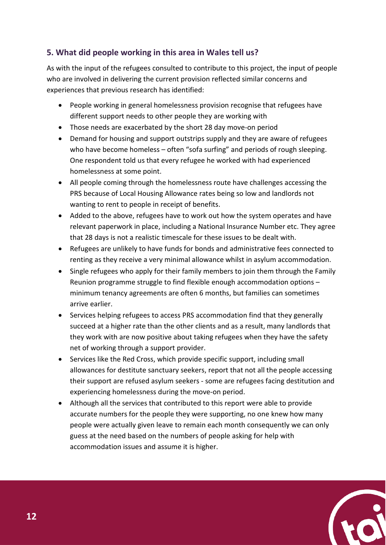#### **5. What did people working in this area in Wales tell us?**

As with the input of the refugees consulted to contribute to this project, the input of people who are involved in delivering the current provision reflected similar concerns and experiences that previous research has identified:

- People working in general homelessness provision recognise that refugees have different support needs to other people they are working with
- Those needs are exacerbated by the short 28 day move-on period
- Demand for housing and support outstrips supply and they are aware of refugees who have become homeless – often "sofa surfing" and periods of rough sleeping. One respondent told us that every refugee he worked with had experienced homelessness at some point.
- All people coming through the homelessness route have challenges accessing the PRS because of Local Housing Allowance rates being so low and landlords not wanting to rent to people in receipt of benefits.
- Added to the above, refugees have to work out how the system operates and have relevant paperwork in place, including a National Insurance Number etc. They agree that 28 days is not a realistic timescale for these issues to be dealt with.
- Refugees are unlikely to have funds for bonds and administrative fees connected to renting as they receive a very minimal allowance whilst in asylum accommodation.
- Single refugees who apply for their family members to join them through the Family Reunion programme struggle to find flexible enough accommodation options – minimum tenancy agreements are often 6 months, but families can sometimes arrive earlier.
- Services helping refugees to access PRS accommodation find that they generally succeed at a higher rate than the other clients and as a result, many landlords that they work with are now positive about taking refugees when they have the safety net of working through a support provider.
- Services like the Red Cross, which provide specific support, including small allowances for destitute sanctuary seekers, report that not all the people accessing their support are refused asylum seekers - some are refugees facing destitution and experiencing homelessness during the move-on period.
- Although all the services that contributed to this report were able to provide accurate numbers for the people they were supporting, no one knew how many people were actually given leave to remain each month consequently we can only guess at the need based on the numbers of people asking for help with accommodation issues and assume it is higher.

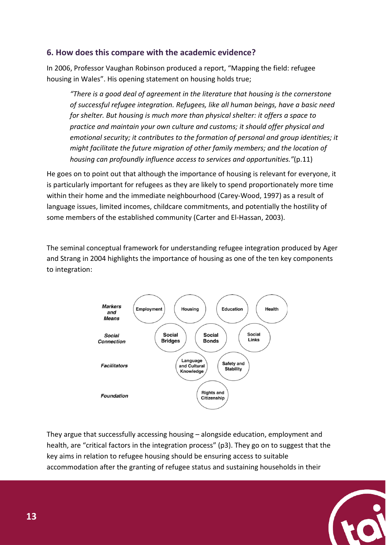#### **6. How does this compare with the academic evidence?**

In 2006, Professor Vaughan Robinson produced a report, "Mapping the field: refugee housing in Wales". His opening statement on housing holds true;

*"There is a good deal of agreement in the literature that housing is the cornerstone of successful refugee integration. Refugees, like all human beings, have a basic need for shelter. But housing is much more than physical shelter: it offers a space to practice and maintain your own culture and customs; it should offer physical and emotional security; it contributes to the formation of personal and group identities; it might facilitate the future migration of other family members; and the location of housing can profoundly influence access to services and opportunities."*(p.11)

He goes on to point out that although the importance of housing is relevant for everyone, it is particularly important for refugees as they are likely to spend proportionately more time within their home and the immediate neighbourhood (Carey-Wood, 1997) as a result of language issues, limited incomes, childcare commitments, and potentially the hostility of some members of the established community (Carter and El-Hassan, 2003).

The seminal conceptual framework for understanding refugee integration produced by Ager and Strang in 2004 highlights the importance of housing as one of the ten key components to integration:



They argue that successfully accessing housing – alongside education, employment and health, are "critical factors in the integration process" (p3). They go on to suggest that the key aims in relation to refugee housing should be ensuring access to suitable accommodation after the granting of refugee status and sustaining households in their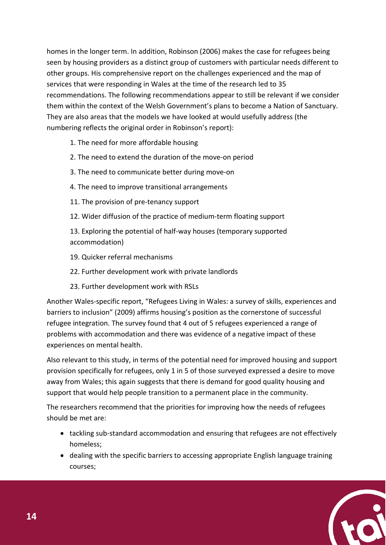homes in the longer term. In addition, Robinson (2006) makes the case for refugees being seen by housing providers as a distinct group of customers with particular needs different to other groups. His comprehensive report on the challenges experienced and the map of services that were responding in Wales at the time of the research led to 35 recommendations. The following recommendations appear to still be relevant if we consider them within the context of the Welsh Government's plans to become a Nation of Sanctuary. They are also areas that the models we have looked at would usefully address (the numbering reflects the original order in Robinson's report):

- 1. The need for more affordable housing
- 2. The need to extend the duration of the move-on period
- 3. The need to communicate better during move-on
- 4. The need to improve transitional arrangements
- 11. The provision of pre-tenancy support
- 12. Wider diffusion of the practice of medium-term floating support

13. Exploring the potential of half-way houses (temporary supported accommodation)

- 19. Quicker referral mechanisms
- 22. Further development work with private landlords
- 23. Further development work with RSLs

Another Wales-specific report, "Refugees Living in Wales: a survey of skills, experiences and barriers to inclusion" (2009) affirms housing's position as the cornerstone of successful refugee integration. The survey found that 4 out of 5 refugees experienced a range of problems with accommodation and there was evidence of a negative impact of these experiences on mental health.

Also relevant to this study, in terms of the potential need for improved housing and support provision specifically for refugees, only 1 in 5 of those surveyed expressed a desire to move away from Wales; this again suggests that there is demand for good quality housing and support that would help people transition to a permanent place in the community.

The researchers recommend that the priorities for improving how the needs of refugees should be met are:

- tackling sub-standard accommodation and ensuring that refugees are not effectively homeless;
- dealing with the specific barriers to accessing appropriate English language training courses;

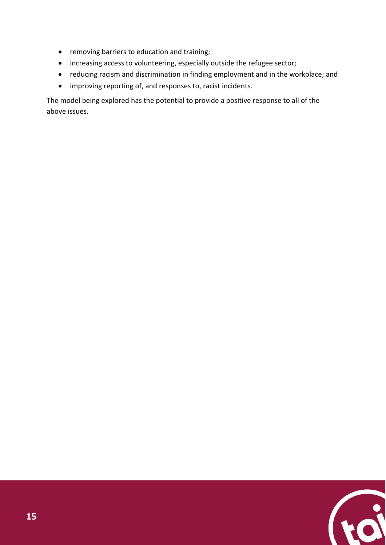- removing barriers to education and training;
- increasing access to volunteering, especially outside the refugee sector;
- reducing racism and discrimination in finding employment and in the workplace; and
- improving reporting of, and responses to, racist incidents.

The model being explored has the potential to provide a positive response to all of the above issues.

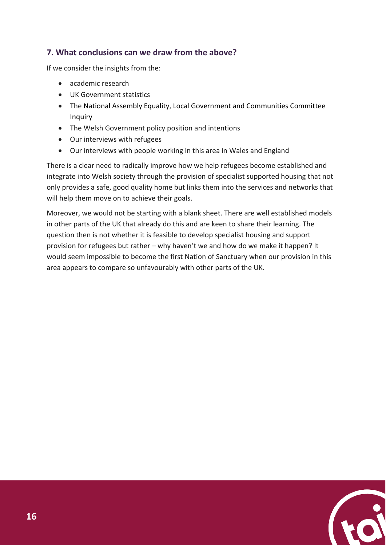#### **7. What conclusions can we draw from the above?**

If we consider the insights from the:

- academic research
- UK Government statistics
- The National Assembly Equality, Local Government and Communities Committee Inquiry
- The Welsh Government policy position and intentions
- Our interviews with refugees
- Our interviews with people working in this area in Wales and England

There is a clear need to radically improve how we help refugees become established and integrate into Welsh society through the provision of specialist supported housing that not only provides a safe, good quality home but links them into the services and networks that will help them move on to achieve their goals.

Moreover, we would not be starting with a blank sheet. There are well established models in other parts of the UK that already do this and are keen to share their learning. The question then is not whether it is feasible to develop specialist housing and support provision for refugees but rather – why haven't we and how do we make it happen? It would seem impossible to become the first Nation of Sanctuary when our provision in this area appears to compare so unfavourably with other parts of the UK.

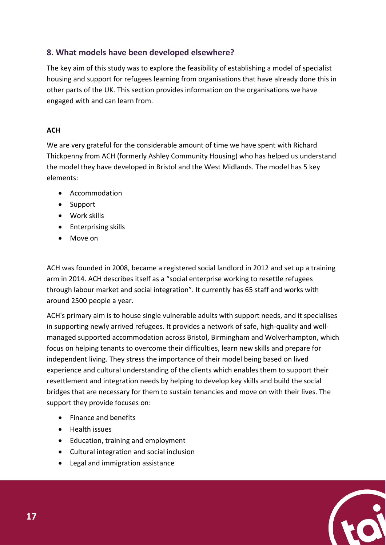#### **8. What models have been developed elsewhere?**

The key aim of this study was to explore the feasibility of establishing a model of specialist housing and support for refugees learning from organisations that have already done this in other parts of the UK. This section provides information on the organisations we have engaged with and can learn from.

#### **ACH**

We are very grateful for the considerable amount of time we have spent with Richard Thickpenny from ACH (formerly Ashley Community Housing) who has helped us understand the model they have developed in Bristol and the West Midlands. The model has 5 key elements:

- Accommodation
- Support
- Work skills
- Enterprising skills
- Move on

ACH was founded in 2008, became a registered social landlord in 2012 and set up a training arm in 2014. ACH describes itself as a "social enterprise working to resettle refugees through labour market and social integration". It currently has 65 staff and works with around 2500 people a year.

ACH's primary aim is to house single vulnerable adults with support needs, and it specialises in supporting newly arrived refugees. It provides a network of safe, high-quality and wellmanaged supported accommodation across Bristol, Birmingham and Wolverhampton, which focus on helping tenants to overcome their difficulties, learn new skills and prepare for independent living. They stress the importance of their model being based on lived experience and cultural understanding of the clients which enables them to support their resettlement and integration needs by helping to develop key skills and build the social bridges that are necessary for them to sustain tenancies and move on with their lives. The support they provide focuses on:

- Finance and benefits
- Health issues
- Education, training and employment
- Cultural integration and social inclusion
- Legal and immigration assistance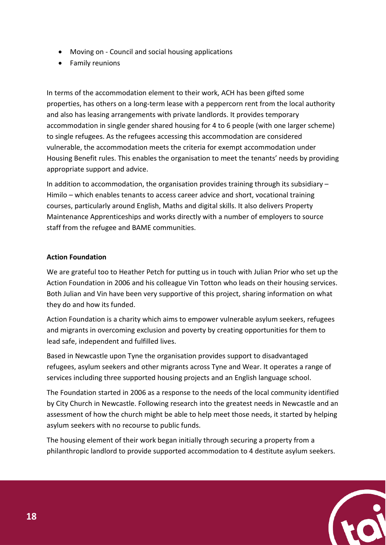- Moving on Council and social housing applications
- Family reunions

In terms of the accommodation element to their work, ACH has been gifted some properties, has others on a long-term lease with a peppercorn rent from the local authority and also has leasing arrangements with private landlords. It provides temporary accommodation in single gender shared housing for 4 to 6 people (with one larger scheme) to single refugees. As the refugees accessing this accommodation are considered vulnerable, the accommodation meets the criteria for exempt accommodation under Housing Benefit rules. This enables the organisation to meet the tenants' needs by providing appropriate support and advice.

In addition to accommodation, the organisation provides training through its subsidiary – Himilo – which enables tenants to access career advice and short, vocational training courses, particularly around English, Maths and digital skills. It also delivers Property Maintenance Apprenticeships and works directly with a number of employers to source staff from the refugee and BAME communities.

#### **Action Foundation**

We are grateful too to Heather Petch for putting us in touch with Julian Prior who set up the Action Foundation in 2006 and his colleague Vin Totton who leads on their housing services. Both Julian and Vin have been very supportive of this project, sharing information on what they do and how its funded.

Action Foundation is a charity which aims to empower vulnerable asylum seekers, refugees and migrants in overcoming exclusion and poverty by creating opportunities for them to lead safe, independent and fulfilled lives.

Based in Newcastle upon Tyne the organisation provides support to disadvantaged refugees, asylum seekers and other migrants across Tyne and Wear. It operates a range of services including three supported housing projects and an English language school.

The Foundation started in 2006 as a response to the needs of the local community identified by City Church in Newcastle. Following research into the greatest needs in Newcastle and an assessment of how the church might be able to help meet those needs, it started by helping asylum seekers with no recourse to public funds.

The housing element of their work began initially through securing a property from a philanthropic landlord to provide supported accommodation to 4 destitute asylum seekers.

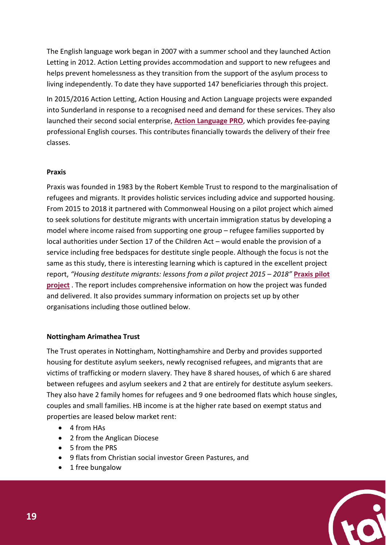The English language work began in 2007 with a summer school and they launched Action Letting in 2012. Action Letting provides accommodation and support to new refugees and helps prevent homelessness as they transition from the support of the asylum process to living independently. To date they have supported 147 beneficiaries through this project.

In 2015/2016 Action Letting, Action Housing and Action Language projects were expanded into Sunderland in response to a recognised need and demand for these services. They also launched their second social enterprise, **[Action Language PRO](http://actionlanguagepro.co.uk/)**, which provides fee-paying professional English courses. This contributes financially towards the delivery of their free classes.

#### **Praxis**

Praxis was founded in 1983 by the Robert Kemble Trust to respond to the marginalisation of refugees and migrants. It provides holistic services including advice and supported housing. From 2015 to 2018 it partnered with Commonweal Housing on a pilot project which aimed to seek solutions for destitute migrants with uncertain immigration status by developing a model where income raised from supporting one group – refugee families supported by local authorities under Section 17 of the Children Act – would enable the provision of a service including free bedspaces for destitute single people. Although the focus is not the same as this study, there is interesting learning which is captured in the excellent project report, *"Housing destitute migrants: lessons from a pilot project 2015 – 2018"* **[Praxis pilot](https://drive.google.com/file/d/1EFnqSvYSgbMsDdmvsPdFzjmLpcoeY_3r/view)  [project](https://drive.google.com/file/d/1EFnqSvYSgbMsDdmvsPdFzjmLpcoeY_3r/view)** . The report includes comprehensive information on how the project was funded and delivered. It also provides summary information on projects set up by other organisations including those outlined below.

#### **Nottingham Arimathea Trust**

The Trust operates in Nottingham, Nottinghamshire and Derby and provides supported housing for destitute asylum seekers, newly recognised refugees, and migrants that are victims of trafficking or modern slavery. They have 8 shared houses, of which 6 are shared between refugees and asylum seekers and 2 that are entirely for destitute asylum seekers. They also have 2 family homes for refugees and 9 one bedroomed flats which house singles, couples and small families. HB income is at the higher rate based on exempt status and properties are leased below market rent:

- 4 from HAs
- 2 from the Anglican Diocese
- 5 from the PRS
- 9 flats from Christian social investor Green Pastures, and
- 1 free bungalow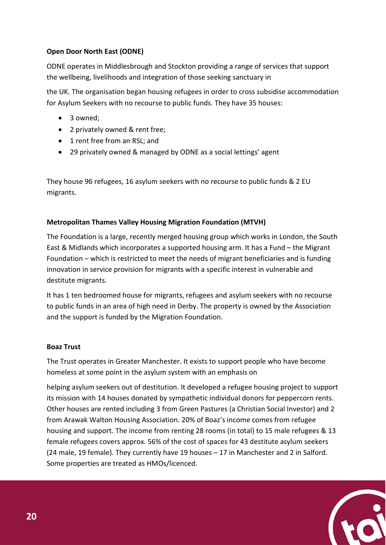#### **Open Door North East (ODNE)**

ODNE operates in Middlesbrough and Stockton providing a range of services that support the wellbeing, livelihoods and integration of those seeking sanctuary in

the UK. The organisation began housing refugees in order to cross subsidise accommodation for Asylum Seekers with no recourse to public funds. They have 35 houses:

- 3 owned:
- 2 privately owned & rent free;
- 1 rent free from an RSL; and
- 29 privately owned & managed by ODNE as a social lettings' agent

They house 96 refugees, 16 asylum seekers with no recourse to public funds & 2 EU migrants.

#### **Metropolitan Thames Valley Housing Migration Foundation (MTVH)**

The Foundation is a large, recently merged housing group which works in London, the South East & Midlands which incorporates a supported housing arm. It has a Fund – the Migrant Foundation – which is restricted to meet the needs of migrant beneficiaries and is funding innovation in service provision for migrants with a specific interest in vulnerable and destitute migrants.

It has 1 ten bedroomed house for migrants, refugees and asylum seekers with no recourse to public funds in an area of high need in Derby. The property is owned by the Association and the support is funded by the Migration Foundation.

#### **Boaz Trust**

The Trust operates in Greater Manchester. It exists to support people who have become homeless at some point in the asylum system with an emphasis on

helping asylum seekers out of destitution. It developed a refugee housing project to support its mission with 14 houses donated by sympathetic individual donors for peppercorn rents. Other houses are rented including 3 from Green Pastures (a Christian Social Investor) and 2 from Arawak Walton Housing Association. 20% of Boaz's income comes from refugee housing and support. The income from renting 28 rooms (in total) to 15 male refugees & 13 female refugees covers approx. 56% of the cost of spaces for 43 destitute asylum seekers (24 male, 19 female). They currently have 19 houses – 17 in Manchester and 2 in Salford. Some properties are treated as HMOs/licenced.

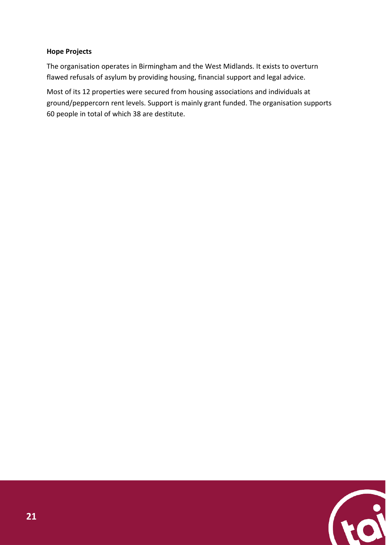#### **Hope Projects**

The organisation operates in Birmingham and the West Midlands. It exists to overturn flawed refusals of asylum by providing housing, financial support and legal advice.

Most of its 12 properties were secured from housing associations and individuals at ground/peppercorn rent levels. Support is mainly grant funded. The organisation supports 60 people in total of which 38 are destitute.

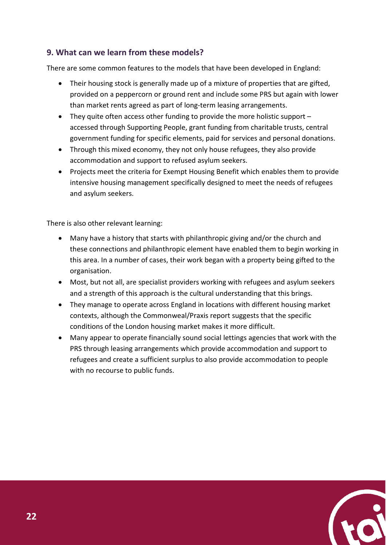#### **9. What can we learn from these models?**

There are some common features to the models that have been developed in England:

- Their housing stock is generally made up of a mixture of properties that are gifted, provided on a peppercorn or ground rent and include some PRS but again with lower than market rents agreed as part of long-term leasing arrangements.
- They quite often access other funding to provide the more holistic support accessed through Supporting People, grant funding from charitable trusts, central government funding for specific elements, paid for services and personal donations.
- Through this mixed economy, they not only house refugees, they also provide accommodation and support to refused asylum seekers.
- Projects meet the criteria for Exempt Housing Benefit which enables them to provide intensive housing management specifically designed to meet the needs of refugees and asylum seekers.

There is also other relevant learning:

- Many have a history that starts with philanthropic giving and/or the church and these connections and philanthropic element have enabled them to begin working in this area. In a number of cases, their work began with a property being gifted to the organisation.
- Most, but not all, are specialist providers working with refugees and asylum seekers and a strength of this approach is the cultural understanding that this brings.
- They manage to operate across England in locations with different housing market contexts, although the Commonweal/Praxis report suggests that the specific conditions of the London housing market makes it more difficult.
- Many appear to operate financially sound social lettings agencies that work with the PRS through leasing arrangements which provide accommodation and support to refugees and create a sufficient surplus to also provide accommodation to people with no recourse to public funds.

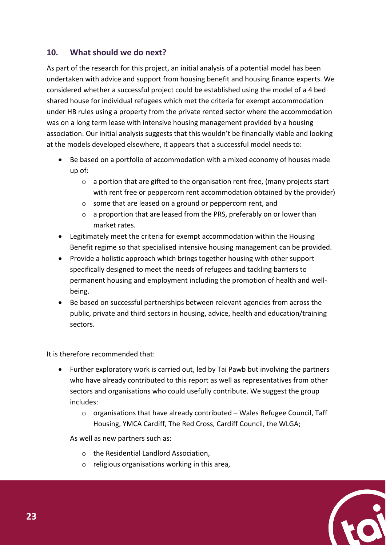#### **10. What should we do next?**

As part of the research for this project, an initial analysis of a potential model has been undertaken with advice and support from housing benefit and housing finance experts. We considered whether a successful project could be established using the model of a 4 bed shared house for individual refugees which met the criteria for exempt accommodation under HB rules using a property from the private rented sector where the accommodation was on a long term lease with intensive housing management provided by a housing association. Our initial analysis suggests that this wouldn't be financially viable and looking at the models developed elsewhere, it appears that a successful model needs to:

- Be based on a portfolio of accommodation with a mixed economy of houses made up of:
	- $\circ$  a portion that are gifted to the organisation rent-free, (many projects start with rent free or peppercorn rent accommodation obtained by the provider)
	- o some that are leased on a ground or peppercorn rent, and
	- o a proportion that are leased from the PRS, preferably on or lower than market rates.
- Legitimately meet the criteria for exempt accommodation within the Housing Benefit regime so that specialised intensive housing management can be provided.
- Provide a holistic approach which brings together housing with other support specifically designed to meet the needs of refugees and tackling barriers to permanent housing and employment including the promotion of health and wellbeing.
- Be based on successful partnerships between relevant agencies from across the public, private and third sectors in housing, advice, health and education/training sectors.

It is therefore recommended that:

- Further exploratory work is carried out, led by Tai Pawb but involving the partners who have already contributed to this report as well as representatives from other sectors and organisations who could usefully contribute. We suggest the group includes:
	- $\circ$  organisations that have already contributed Wales Refugee Council, Taff Housing, YMCA Cardiff, The Red Cross, Cardiff Council, the WLGA;

As well as new partners such as:

- o the Residential Landlord Association,
- o religious organisations working in this area,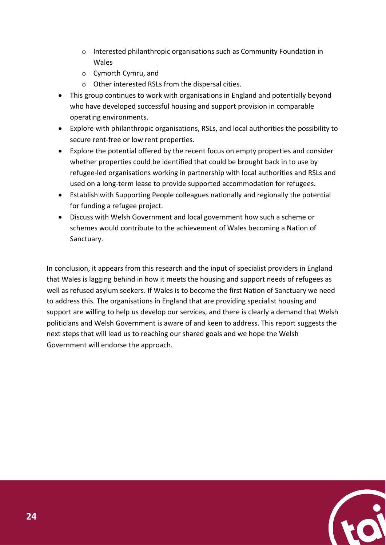- o Interested philanthropic organisations such as Community Foundation in Wales
- o Cymorth Cymru, and
- o Other interested RSLs from the dispersal cities.
- This group continues to work with organisations in England and potentially beyond who have developed successful housing and support provision in comparable operating environments.
- Explore with philanthropic organisations, RSLs, and local authorities the possibility to secure rent-free or low rent properties.
- Explore the potential offered by the recent focus on empty properties and consider whether properties could be identified that could be brought back in to use by refugee-led organisations working in partnership with local authorities and RSLs and used on a long-term lease to provide supported accommodation for refugees.
- Establish with Supporting People colleagues nationally and regionally the potential for funding a refugee project.
- Discuss with Welsh Government and local government how such a scheme or schemes would contribute to the achievement of Wales becoming a Nation of Sanctuary.

In conclusion, it appears from this research and the input of specialist providers in England that Wales is lagging behind in how it meets the housing and support needs of refugees as well as refused asylum seekers. If Wales is to become the first Nation of Sanctuary we need to address this. The organisations in England that are providing specialist housing and support are willing to help us develop our services, and there is clearly a demand that Welsh politicians and Welsh Government is aware of and keen to address. This report suggests the next steps that will lead us to reaching our shared goals and we hope the Welsh Government will endorse the approach.

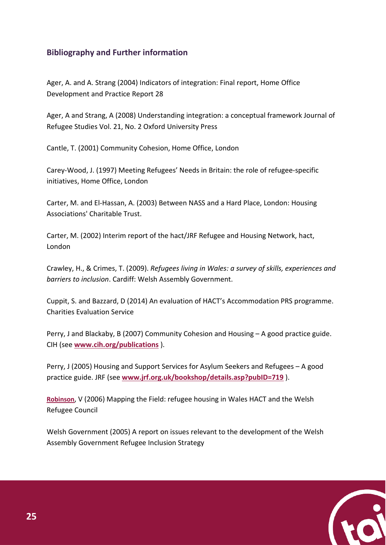#### **Bibliography and Further information**

Ager, A. and A. Strang (2004) Indicators of integration: Final report, Home Office Development and Practice Report 28

Ager, A and Strang, A (2008) Understanding integration: a conceptual framework Journal of Refugee Studies Vol. 21, No. 2 Oxford University Press

Cantle, T. (2001) Community Cohesion, Home Office, London

Carey-Wood, J. (1997) Meeting Refugees' Needs in Britain: the role of refugee-specific initiatives, Home Office, London

Carter, M. and El-Hassan, A. (2003) Between NASS and a Hard Place, London: Housing Associations' Charitable Trust.

Carter, M. (2002) Interim report of the hact/JRF Refugee and Housing Network, hact, London

Crawley, H., & Crimes, T. (2009). *Refugees living in Wales: a survey of skills, experiences and barriers to inclusion*. Cardiff: Welsh Assembly Government.

Cuppit, S. and Bazzard, D (2014) An evaluation of HACT's Accommodation PRS programme. Charities Evaluation Service

Perry, J and Blackaby, B (2007) Community Cohesion and Housing – A good practice guide. CIH (see **[www.cih.org/publications](http://www.cih.org/publications)** ).

Perry, J (2005) Housing and Support Services for Asylum Seekers and Refugees – A good practice guide. JRF (see **[www.jrf.org.uk/bookshop/details.asp?pubID=719](http://www.jrf.org.uk/bookshop/details.asp?pubID=719)** ).

**Robinson**, V (2006) Mapping the Field: refugee housing in Wales HACT and the Welsh Refugee Council

Welsh Government (2005) A report on issues relevant to the development of the Welsh Assembly Government Refugee Inclusion Strategy